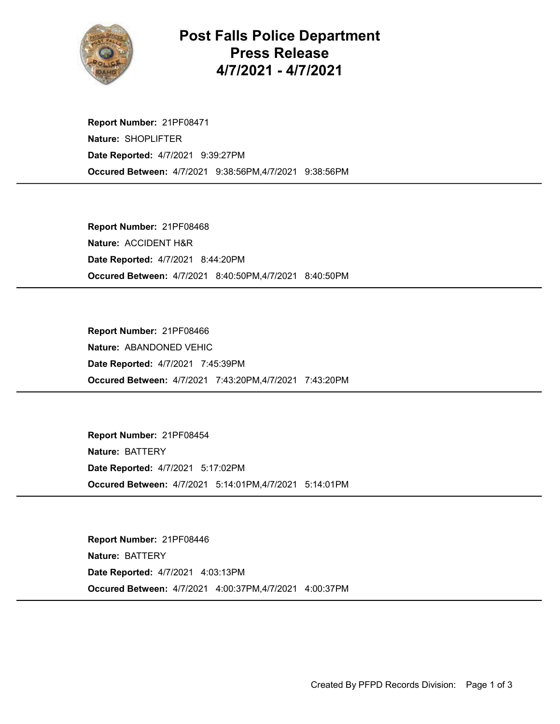

## Post Falls Police Department Press Release 4/7/2021 - 4/7/2021

Occured Between: 4/7/2021 9:38:56PM,4/7/2021 9:38:56PM Report Number: 21PF08471 Nature: SHOPLIFTER Date Reported: 4/7/2021 9:39:27PM

Occured Between: 4/7/2021 8:40:50PM,4/7/2021 8:40:50PM Report Number: 21PF08468 Nature: ACCIDENT H&R Date Reported: 4/7/2021 8:44:20PM

Occured Between: 4/7/2021 7:43:20PM,4/7/2021 7:43:20PM Report Number: 21PF08466 Nature: ABANDONED VEHIC Date Reported: 4/7/2021 7:45:39PM

Occured Between: 4/7/2021 5:14:01PM,4/7/2021 5:14:01PM Report Number: 21PF08454 Nature: BATTERY Date Reported: 4/7/2021 5:17:02PM

Occured Between: 4/7/2021 4:00:37PM,4/7/2021 4:00:37PM Report Number: 21PF08446 Nature: BATTERY Date Reported: 4/7/2021 4:03:13PM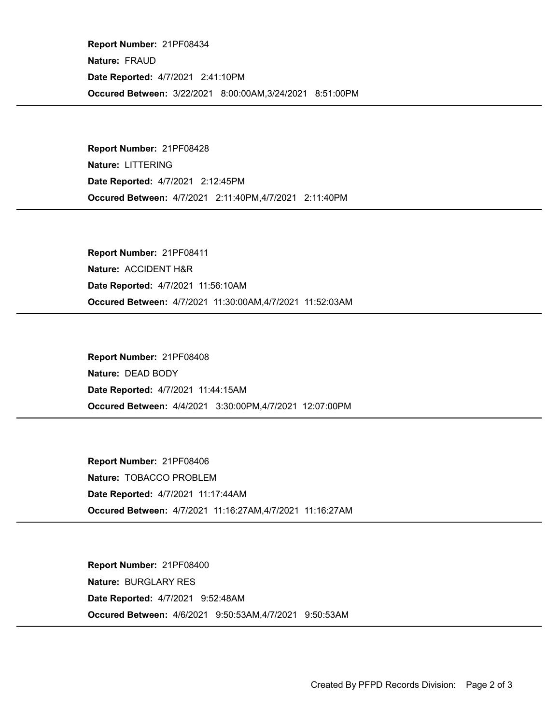Occured Between: 3/22/2021 8:00:00AM,3/24/2021 8:51:00PM Report Number: 21PF08434 Nature: FRAUD Date Reported: 4/7/2021 2:41:10PM

Occured Between: 4/7/2021 2:11:40PM,4/7/2021 2:11:40PM Report Number: 21PF08428 Nature: LITTERING Date Reported: 4/7/2021 2:12:45PM

Occured Between: 4/7/2021 11:30:00AM,4/7/2021 11:52:03AM Report Number: 21PF08411 Nature: ACCIDENT H&R Date Reported: 4/7/2021 11:56:10AM

Occured Between: 4/4/2021 3:30:00PM,4/7/2021 12:07:00PM Report Number: 21PF08408 Nature: DEAD BODY Date Reported: 4/7/2021 11:44:15AM

Occured Between: 4/7/2021 11:16:27AM,4/7/2021 11:16:27AM Report Number: 21PF08406 Nature: TOBACCO PROBLEM Date Reported: 4/7/2021 11:17:44AM

Occured Between: 4/6/2021 9:50:53AM,4/7/2021 9:50:53AM Report Number: 21PF08400 Nature: BURGLARY RES Date Reported: 4/7/2021 9:52:48AM